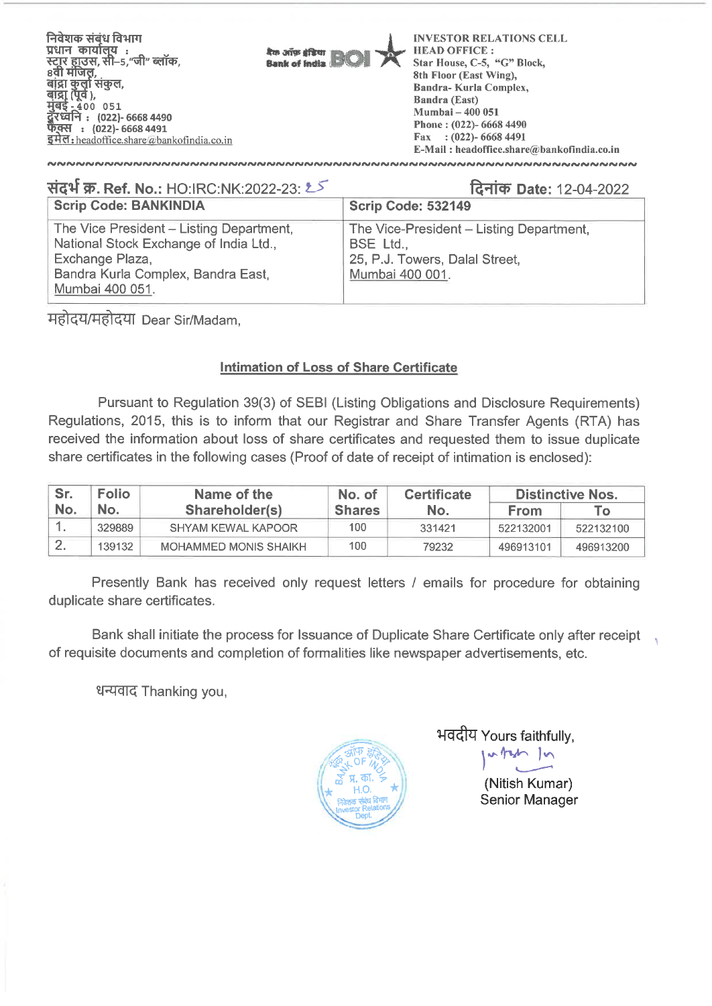

| र्संदर्भ क्र. Ref. No.: HO:IRC:NK:2022-23: 25                                                                                                                  | दिनांक Date: 12-04-2022                                                                                    |
|----------------------------------------------------------------------------------------------------------------------------------------------------------------|------------------------------------------------------------------------------------------------------------|
| <b>Scrip Code: BANKINDIA</b>                                                                                                                                   | <b>Scrip Code: 532149</b>                                                                                  |
| The Vice President - Listing Department,<br>National Stock Exchange of India Ltd.,<br>Exchange Plaza,<br>Bandra Kurla Complex, Bandra East,<br>Mumbai 400 051. | The Vice-President - Listing Department,<br>BSE Ltd.,<br>25, P.J. Towers, Dalal Street,<br>Mumbai 400 001. |

महोदय/महोदया Dear Sir/Madam.

## **Intimation of Loss of Share Certificate**

Pursuant to Regulation 39(3) of SEBI (Listing Obligations and Disclosure Requirements) Regulations, 2015, this is to inform that our Registrar and Share Transfer Agents (RTA) has received the information about loss of share certificates and requested them to issue duplicate share certificates in the following cases (Proof of date of receipt of intimation is enclosed):

| Sr. | <b>Folio</b> | Name of the                  | No. of        | <b>Certificate</b> | <b>Distinctive Nos.</b> |           |
|-----|--------------|------------------------------|---------------|--------------------|-------------------------|-----------|
| No. | No.          | Shareholder(s)               | <b>Shares</b> | No.                | <b>From</b>             | τо.       |
|     | 329889       | <b>SHYAM KEWAL KAPOOR</b>    | 100           | 331421             | 522132001               | 522132100 |
|     | 139132       | <b>MOHAMMED MONIS SHAIKH</b> | 100           | 79232              | 496913101               | 496913200 |

Presently Bank has received only request letters / emails for procedure for obtaining duplicate share certificates.

Bank shall initiate the process for Issuance of Duplicate Share Certificate only after receipt, of requisite documents and completion of formalities like newspaper advertisements, etc.

धन्यवाद Thanking you,



भवदीय Yours faithfully,

(Nitish Kumar) Senior Manager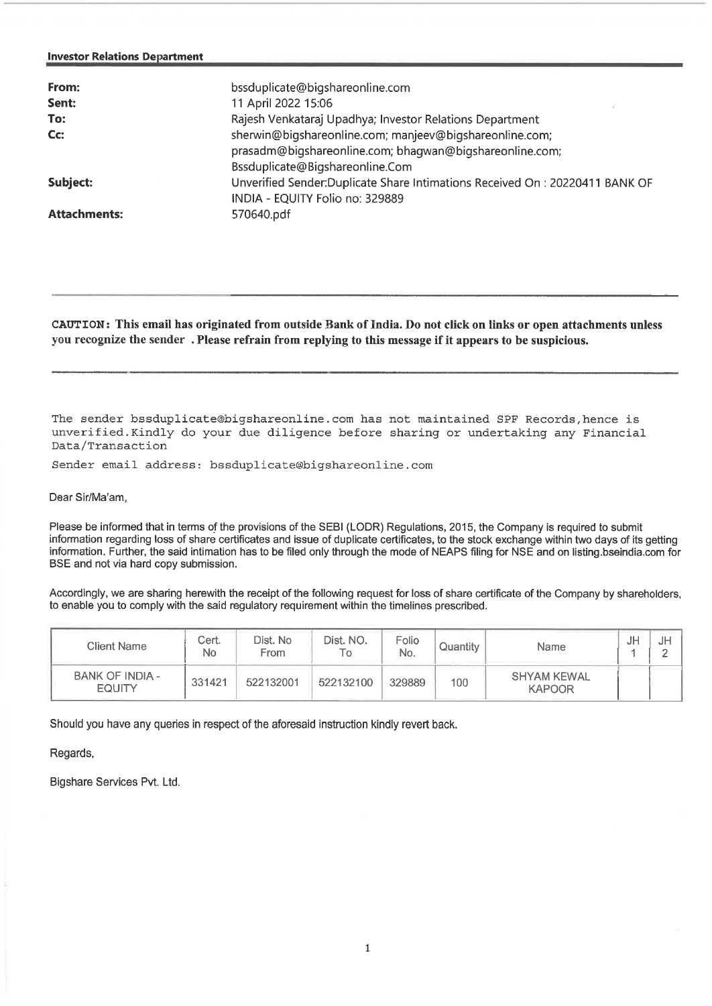## **Investor Relations Department**

| From:<br>Sent:<br>To: | bssduplicate@bigshareonline.com<br>11 April 2022 15:06<br>Rajesh Venkataraj Upadhya; Investor Relations Department                                    |
|-----------------------|-------------------------------------------------------------------------------------------------------------------------------------------------------|
| Cc:                   | sherwin@bigshareonline.com; manjeev@bigshareonline.com;<br>prasadm@bigshareonline.com; bhagwan@bigshareonline.com;<br>Bssduplicate@Bigshareonline.Com |
| Subject:              | Unverified Sender:Duplicate Share Intimations Received On: 20220411 BANK OF<br>INDIA - EQUITY Folio no: 329889                                        |
| <b>Attachments:</b>   | 570640.pdf                                                                                                                                            |

**CAUTION: This email has originated from outside Bank of India. Do not click on links or open attachments unless you recognize the sender . Please refrain from replying to this message if it appears to be suspicious.** 

The sender bssduplicate@bigshareonline.com has not maintained SPF Records,hence is unverified.Kindly do your due diligence before sharing or undertaking any Financial Data/Transaction

Sender email address: bssduplicate@bigshareonline.com

Dear Sir/Ma'am,

Please be informed that in terms of the provisions of the SEBI (LODR) Regulations, 2015, the Company is required to submit information regarding loss of share certificates and issue of duplicate certificates, to the stock exchange within two days of its getting information. Further, the said intimation has to be filed only through the mode of NEAPS filing for NSE and on listing.bseindia.comfor BSE and not via hard copy submission.

Accordingly, we are sharing herewith the receipt of the following request for loss of share certificate of the Company by shareholders, to enable you to comply with the said regulatory requirement within the timelines prescribed.

| <b>Client Name</b>                      | Cert.<br>No | Dist. No<br>From | Dist. NO.<br>⊤о∶ | Folio<br>No. | Quantity | <b>Name</b>                         | JF | J⊬ |
|-----------------------------------------|-------------|------------------|------------------|--------------|----------|-------------------------------------|----|----|
| <b>BANK OF INDIA -</b><br><b>EQUITY</b> | 331421      | 522132001        | 522132100        | 329889       | 100      | <b>SHYAM KEWAL</b><br><b>KAPOOR</b> |    |    |

Should you have any queries in respect of the aforesaid instruction kindly revert back.

Regards,

Bigshare Services Pvt. Ltd.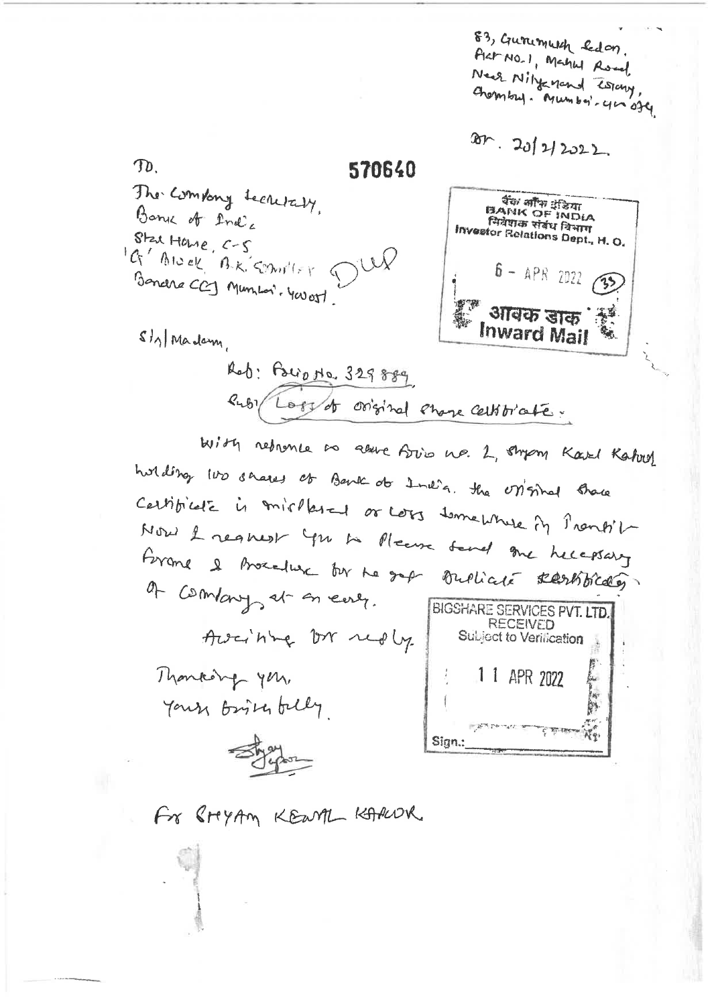83, Gunimush Edon. ARMO-1, Making Road, New Nilyamond Testany Chambul. Mumber- 4m of4

 $201 - 2012122$ 

570640 The Combany Lechetaly Bank of Inde Star Hare, C-5 G' Alock A.K. Complex Bonders CCJ Munion. You out

**पैंक अमि इंडिया**<br>BANK OF INDIA भिवेशक संबंध विभाग Investor Relations Dept., H. O.  $6 - APR$  2022 आवक डाक **Inward Mail** 

 $s|_{\Lambda}|$  Madam,

 $\mathcal{D}$ .

Red: Poliotta 329889 Rubi Logg of original share cellibriate.

With returnee to alsure Aris no. L, shysm Kavel Kahrel holding wo shares of Bank of India. the on'mal have Certificate is misflered or cors temeliture in Prenticle Now I reasent you to Please feared are helessary forance & brocalise bu no grap Bullicule startbilder. of combany, at an early. BIGSHARE SERVICES PVT. LTD. **RECEIVED** Awaining by nedly Subject to Verilication Thankorg you, 1 1 APR 2022 Your Brisk felly Sign.:

For Rigging KEWAL KARWK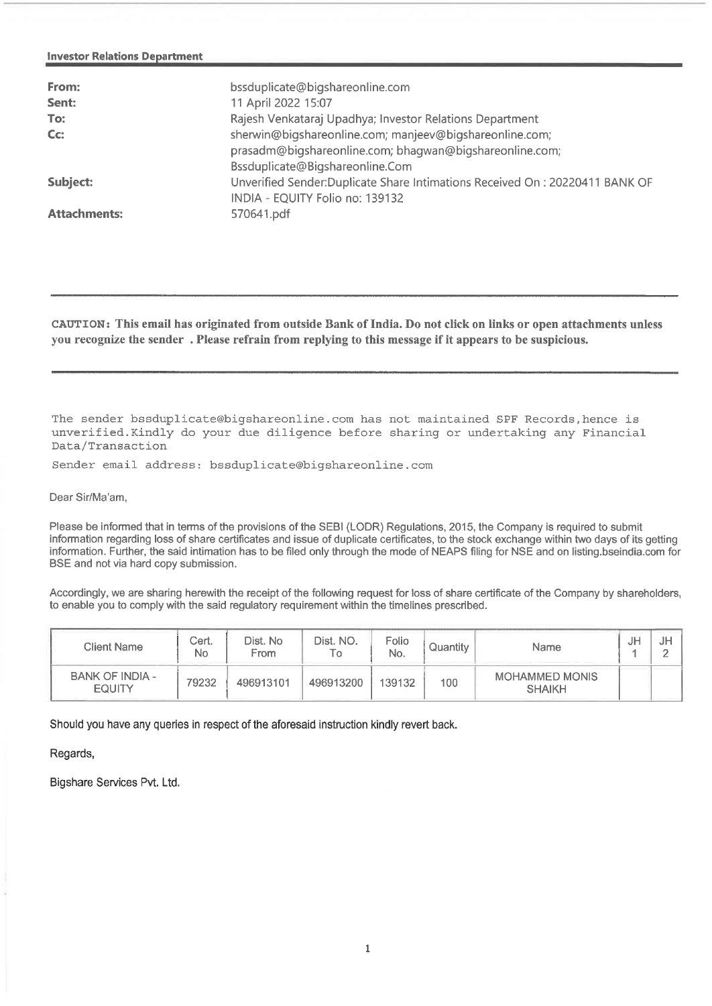## **Investor Relations Department**

| From:<br>Sent:<br>To:<br>Cc: | bssduplicate@bigshareonline.com<br>11 April 2022 15:07<br>Rajesh Venkataraj Upadhya; Investor Relations Department<br>sherwin@bigshareonline.com; manjeev@bigshareonline.com; |
|------------------------------|-------------------------------------------------------------------------------------------------------------------------------------------------------------------------------|
|                              | prasadm@bigshareonline.com; bhagwan@bigshareonline.com;<br>Bssduplicate@Bigshareonline.Com                                                                                    |
| Subject:                     | Unverified Sender: Duplicate Share Intimations Received On: 20220411 BANK OF<br>INDIA - EQUITY Folio no: 139132                                                               |
| <b>Attachments:</b>          | 570641.pdf                                                                                                                                                                    |

**CAUTION:** This email has originated from outside Bank of India. Do not click on links or open attachments unless you recognize the sender . Please refrain from replying to this message if it appears to be suspicious.

The sender bssduplicate@bigshareonline.com has not maintained SPF Records,hence is unverified.Kindly do your due diligence before sharing or undertaking any Financial Data/Transaction

Sender email address: bssduplicate@bigshareonline.com

Dear Sir/Ma'am,

Please be informed that in terms of the provisions of the SEBI (LODR) Regulations, 2015, the Company is required to submit information regarding loss of share certificates and issue of duplicate certificates, to the stock exchange within two days of its getting information. Further, the said intimation has to be filed only through the mode of NEAPS filing for NSE and on listing bseindia.com for BSE and not via hard copy submission.

Accordingly, we are sharing herewith the receipt of the following request for loss of share certificate of the Company by shareholders, to enable you to comply with the said regulatory requirement within the timelines prescribed.

| Client Name                             | Cert.<br>No | Dist. No<br><b>From</b> | Dist. NO.<br>l O | Folio<br>No. | Quantity | <b>Name</b>                            | JF | JP |
|-----------------------------------------|-------------|-------------------------|------------------|--------------|----------|----------------------------------------|----|----|
| <b>BANK OF INDIA -</b><br><b>EQUITY</b> | 79232       | 496913101               | 496913200        | 139132       | 100      | <b>MOHAMMED MONIS</b><br><b>SHAIKH</b> |    |    |

Should you have any queries in respect of the aforesaid instruction kindly revert back.

Regards,

Bigshare Services Pvt. Ltd.